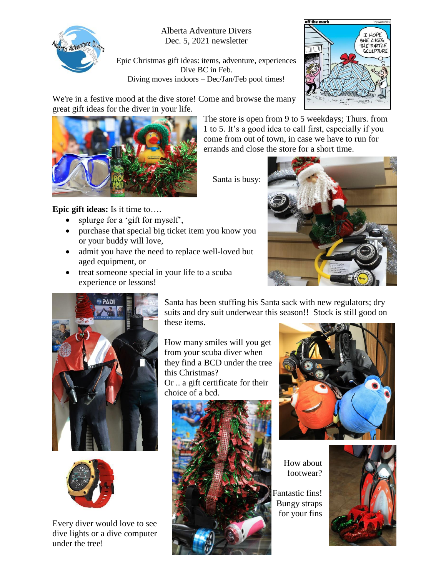

Alberta Adventure Divers Dec. 5, 2021 newsletter

Epic Christmas gift ideas: items, adventure, experiences Dive BC in Feb. Diving moves indoors – Dec/Jan/Feb pool times!



We're in a festive mood at the dive store! Come and browse the many great gift ideas for the diver in your life.



**Epic gift ideas:** Is it time to….

- splurge for a 'gift for myself',
- purchase that special big ticket item you know you or your buddy will love,
- admit you have the need to replace well-loved but aged equipment, or
- treat someone special in your life to a scuba experience or lessons!



The store is open from 9 to 5 weekdays; Thurs. from 1 to 5. It's a good idea to call first, especially if you come from out of town, in case we have to run for





Every diver would love to see dive lights or a dive computer under the tree!

Santa has been stuffing his Santa sack with new regulators; dry suits and dry suit underwear this season!! Stock is still good on these items.

How many smiles will you get from your scuba diver when they find a BCD under the tree this Christmas? Or .. a gift certificate for their choice of a bcd.





How about footwear?

 Fantastic fins! Bungy straps for your fins